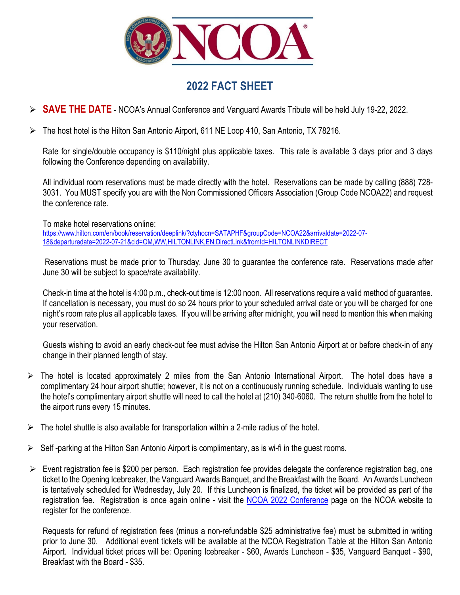

## **2022 FACT SHEET**

- **SAVE THE DATE** NCOA's Annual Conference and Vanguard Awards Tribute will be held July 19-22, 2022.
- The host hotel is the Hilton San Antonio Airport, 611 NE Loop 410, San Antonio, TX 78216.

Rate for single/double occupancy is \$110/night plus applicable taxes. This rate is available 3 days prior and 3 days following the Conference depending on availability.

All individual room reservations must be made directly with the hotel. Reservations can be made by calling (888) 728- 3031. You MUST specify you are with the Non Commissioned Officers Association (Group Code NCOA22) and request the conference rate.

To make hotel reservations online:

[https://www.hilton.com/en/book/reservation/deeplink/?ctyhocn=SATAPHF&groupCode=NCOA22&arrivaldate=2022-07-](https://www.hilton.com/en/book/reservation/deeplink/?ctyhocn=SATAPHF&groupCode=NCOA22&arrivaldate=2022-07-18&departuredate=2022-07-21&cid=OM,WW,HILTONLINK,EN,DirectLink&fromId=HILTONLINKDIRECT) [18&departuredate=2022-07-21&cid=OM,WW,HILTONLINK,EN,DirectLink&fromId=HILTONLINKDIRECT](https://www.hilton.com/en/book/reservation/deeplink/?ctyhocn=SATAPHF&groupCode=NCOA22&arrivaldate=2022-07-18&departuredate=2022-07-21&cid=OM,WW,HILTONLINK,EN,DirectLink&fromId=HILTONLINKDIRECT)

Reservations must be made prior to Thursday, June 30 to guarantee the conference rate. Reservations made after June 30 will be subject to space/rate availability.

Check-in time at the hotel is 4:00 p.m., check-out time is 12:00 noon. All reservations require a valid method of guarantee. If cancellation is necessary, you must do so 24 hours prior to your scheduled arrival date or you will be charged for one night's room rate plus all applicable taxes. If you will be arriving after midnight, you will need to mention this when making your reservation.

Guests wishing to avoid an early check-out fee must advise the Hilton San Antonio Airport at or before check-in of any change in their planned length of stay.

- The hotel is located approximately 2 miles from the San Antonio International Airport. The hotel does have a complimentary 24 hour airport shuttle; however, it is not on a continuously running schedule. Individuals wanting to use the hotel's complimentary airport shuttle will need to call the hotel at (210) 340-6060. The return shuttle from the hotel to the airport runs every 15 minutes.
- $\triangleright$  The hotel shuttle is also available for transportation within a 2-mile radius of the hotel.
- $\triangleright$  Self-parking at the Hilton San Antonio Airport is complimentary, as is wi-fi in the quest rooms.
- $\triangleright$  Event registration fee is \$200 per person. Each registration fee provides delegate the conference registration bag, one ticket to the Opening Icebreaker, the Vanguard Awards Banquet, and the Breakfast with the Board. An Awards Luncheon is tentatively scheduled for Wednesday, July 20. If this Luncheon is finalized, the ticket will be provided as part of the registration fee. Registration is once again online - visit the [NCOA 2022 Conference](https://www.ncoausa.org/ncoa-2022-conference.html) page on the NCOA website to register for the conference.

Requests for refund of registration fees (minus a non-refundable \$25 administrative fee) must be submitted in writing prior to June 30. Additional event tickets will be available at the NCOA Registration Table at the Hilton San Antonio Airport. Individual ticket prices will be: Opening Icebreaker - \$60, Awards Luncheon - \$35, Vanguard Banquet - \$90, Breakfast with the Board - \$35.